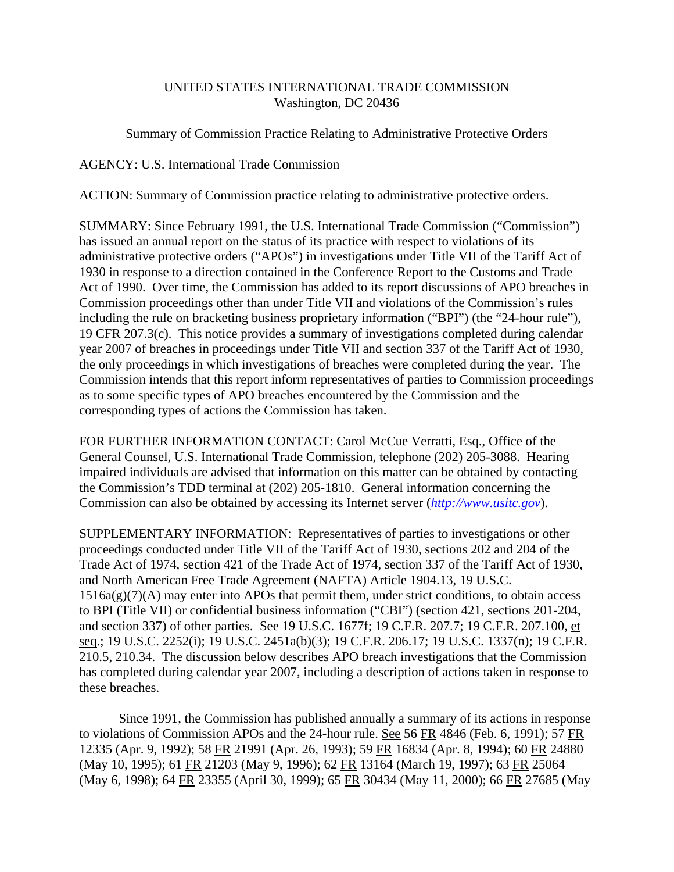# UNITED STATES INTERNATIONAL TRADE COMMISSION Washington, DC 20436

## Summary of Commission Practice Relating to Administrative Protective Orders

### AGENCY: U.S. International Trade Commission

ACTION: Summary of Commission practice relating to administrative protective orders.

SUMMARY: Since February 1991, the U.S. International Trade Commission ("Commission") has issued an annual report on the status of its practice with respect to violations of its administrative protective orders ("APOs") in investigations under Title VII of the Tariff Act of 1930 in response to a direction contained in the Conference Report to the Customs and Trade Act of 1990. Over time, the Commission has added to its report discussions of APO breaches in Commission proceedings other than under Title VII and violations of the Commission's rules including the rule on bracketing business proprietary information ("BPI") (the "24-hour rule"), 19 CFR 207.3(c). This notice provides a summary of investigations completed during calendar year 2007 of breaches in proceedings under Title VII and section 337 of the Tariff Act of 1930, the only proceedings in which investigations of breaches were completed during the year. The Commission intends that this report inform representatives of parties to Commission proceedings as to some specific types of APO breaches encountered by the Commission and the corresponding types of actions the Commission has taken.

FOR FURTHER INFORMATION CONTACT: Carol McCue Verratti, Esq., Office of the General Counsel, U.S. International Trade Commission, telephone (202) 205-3088. Hearing impaired individuals are advised that information on this matter can be obtained by contacting the Commission's TDD terminal at (202) 205-1810. General information concerning the Commission can also be obtained by accessing its Internet server (*http://www.usitc.gov*).

SUPPLEMENTARY INFORMATION: Representatives of parties to investigations or other proceedings conducted under Title VII of the Tariff Act of 1930, sections 202 and 204 of the Trade Act of 1974, section 421 of the Trade Act of 1974, section 337 of the Tariff Act of 1930, and North American Free Trade Agreement (NAFTA) Article 1904.13, 19 U.S.C.  $1516a(g)(7)(A)$  may enter into APOs that permit them, under strict conditions, to obtain access to BPI (Title VII) or confidential business information ("CBI") (section 421, sections 201-204, and section 337) of other parties. See 19 U.S.C. 1677f; 19 C.F.R. 207.7; 19 C.F.R. 207.100, et seq.; 19 U.S.C. 2252(i); 19 U.S.C. 2451a(b)(3); 19 C.F.R. 206.17; 19 U.S.C. 1337(n); 19 C.F.R. 210.5, 210.34. The discussion below describes APO breach investigations that the Commission has completed during calendar year 2007, including a description of actions taken in response to these breaches.

Since 1991, the Commission has published annually a summary of its actions in response to violations of Commission APOs and the 24-hour rule. See 56 FR 4846 (Feb. 6, 1991); 57 FR 12335 (Apr. 9, 1992); 58 FR 21991 (Apr. 26, 1993); 59 FR 16834 (Apr. 8, 1994); 60 FR 24880 (May 10, 1995); 61 FR 21203 (May 9, 1996); 62 FR 13164 (March 19, 1997); 63 FR 25064 (May 6, 1998); 64 FR 23355 (April 30, 1999); 65 FR 30434 (May 11, 2000); 66 FR 27685 (May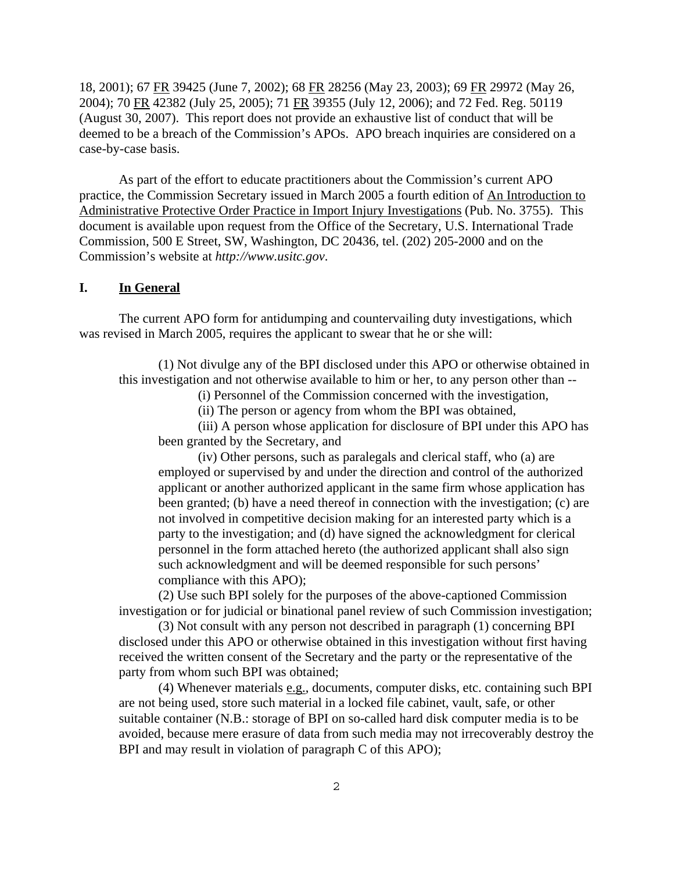18, 2001); 67 FR 39425 (June 7, 2002); 68 FR 28256 (May 23, 2003); 69 FR 29972 (May 26, 2004); 70 FR 42382 (July 25, 2005); 71 FR 39355 (July 12, 2006); and 72 Fed. Reg. 50119 (August 30, 2007). This report does not provide an exhaustive list of conduct that will be deemed to be a breach of the Commission's APOs. APO breach inquiries are considered on a case-by-case basis.

As part of the effort to educate practitioners about the Commission's current APO practice, the Commission Secretary issued in March 2005 a fourth edition of An Introduction to Administrative Protective Order Practice in Import Injury Investigations (Pub. No. 3755). This document is available upon request from the Office of the Secretary, U.S. International Trade Commission, 500 E Street, SW, Washington, DC 20436, tel. (202) 205-2000 and on the Commission's website at *http://www.usitc.gov*.

### **I. In General**

The current APO form for antidumping and countervailing duty investigations, which was revised in March 2005, requires the applicant to swear that he or she will:

(1) Not divulge any of the BPI disclosed under this APO or otherwise obtained in this investigation and not otherwise available to him or her, to any person other than --

(i) Personnel of the Commission concerned with the investigation,

(ii) The person or agency from whom the BPI was obtained,

(iii) A person whose application for disclosure of BPI under this APO has been granted by the Secretary, and

(iv) Other persons, such as paralegals and clerical staff, who (a) are employed or supervised by and under the direction and control of the authorized applicant or another authorized applicant in the same firm whose application has been granted; (b) have a need thereof in connection with the investigation; (c) are not involved in competitive decision making for an interested party which is a party to the investigation; and (d) have signed the acknowledgment for clerical personnel in the form attached hereto (the authorized applicant shall also sign such acknowledgment and will be deemed responsible for such persons' compliance with this APO);

(2) Use such BPI solely for the purposes of the above-captioned Commission investigation or for judicial or binational panel review of such Commission investigation;

(3) Not consult with any person not described in paragraph (1) concerning BPI disclosed under this APO or otherwise obtained in this investigation without first having received the written consent of the Secretary and the party or the representative of the party from whom such BPI was obtained;

(4) Whenever materials  $e.g.,$  documents, computer disks, etc. containing such BPI are not being used, store such material in a locked file cabinet, vault, safe, or other suitable container (N.B.: storage of BPI on so-called hard disk computer media is to be avoided, because mere erasure of data from such media may not irrecoverably destroy the BPI and may result in violation of paragraph C of this APO);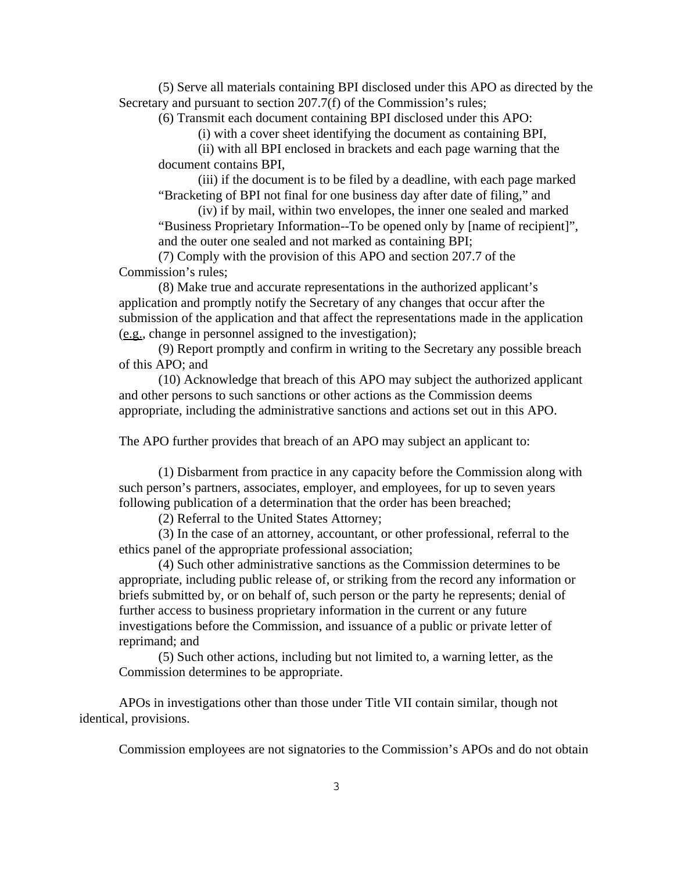(5) Serve all materials containing BPI disclosed under this APO as directed by the Secretary and pursuant to section 207.7(f) of the Commission's rules;

(6) Transmit each document containing BPI disclosed under this APO:

(i) with a cover sheet identifying the document as containing BPI,

(ii) with all BPI enclosed in brackets and each page warning that the document contains BPI,

(iii) if the document is to be filed by a deadline, with each page marked "Bracketing of BPI not final for one business day after date of filing," and

(iv) if by mail, within two envelopes, the inner one sealed and marked "Business Proprietary Information--To be opened only by [name of recipient]",

and the outer one sealed and not marked as containing BPI;

(7) Comply with the provision of this APO and section 207.7 of the Commission's rules;

(8) Make true and accurate representations in the authorized applicant's application and promptly notify the Secretary of any changes that occur after the submission of the application and that affect the representations made in the application (e.g., change in personnel assigned to the investigation);

(9) Report promptly and confirm in writing to the Secretary any possible breach of this APO; and

(10) Acknowledge that breach of this APO may subject the authorized applicant and other persons to such sanctions or other actions as the Commission deems appropriate, including the administrative sanctions and actions set out in this APO.

The APO further provides that breach of an APO may subject an applicant to:

(1) Disbarment from practice in any capacity before the Commission along with such person's partners, associates, employer, and employees, for up to seven years following publication of a determination that the order has been breached;

(2) Referral to the United States Attorney;

(3) In the case of an attorney, accountant, or other professional, referral to the ethics panel of the appropriate professional association;

(4) Such other administrative sanctions as the Commission determines to be appropriate, including public release of, or striking from the record any information or briefs submitted by, or on behalf of, such person or the party he represents; denial of further access to business proprietary information in the current or any future investigations before the Commission, and issuance of a public or private letter of reprimand; and

(5) Such other actions, including but not limited to, a warning letter, as the Commission determines to be appropriate.

APOs in investigations other than those under Title VII contain similar, though not identical, provisions.

Commission employees are not signatories to the Commission's APOs and do not obtain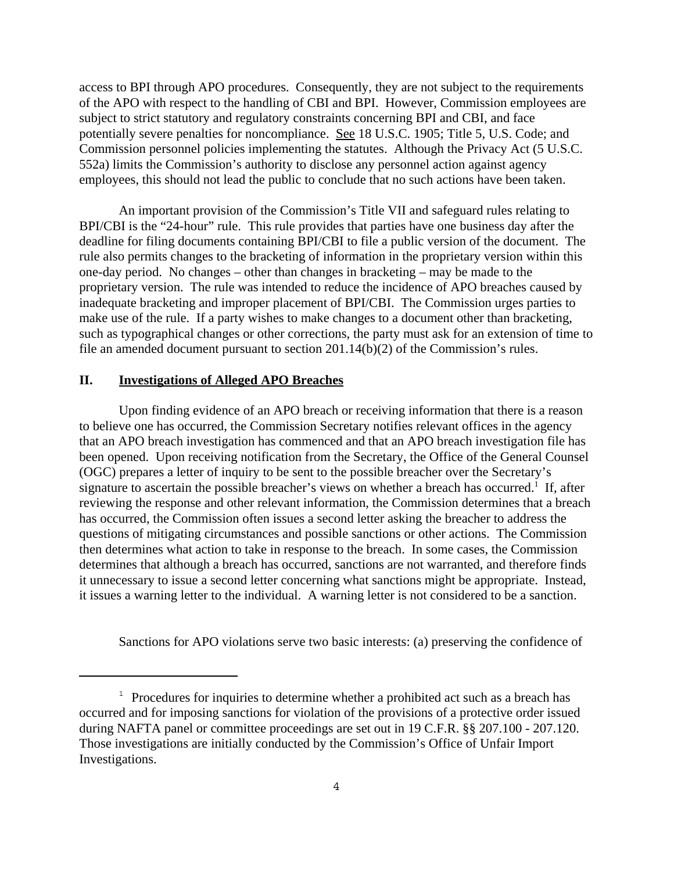access to BPI through APO procedures. Consequently, they are not subject to the requirements of the APO with respect to the handling of CBI and BPI. However, Commission employees are subject to strict statutory and regulatory constraints concerning BPI and CBI, and face potentially severe penalties for noncompliance. See 18 U.S.C. 1905; Title 5, U.S. Code; and Commission personnel policies implementing the statutes. Although the Privacy Act (5 U.S.C. 552a) limits the Commission's authority to disclose any personnel action against agency employees, this should not lead the public to conclude that no such actions have been taken.

An important provision of the Commission's Title VII and safeguard rules relating to BPI/CBI is the "24-hour" rule. This rule provides that parties have one business day after the deadline for filing documents containing BPI/CBI to file a public version of the document. The rule also permits changes to the bracketing of information in the proprietary version within this one-day period. No changes – other than changes in bracketing – may be made to the proprietary version. The rule was intended to reduce the incidence of APO breaches caused by inadequate bracketing and improper placement of BPI/CBI. The Commission urges parties to make use of the rule. If a party wishes to make changes to a document other than bracketing, such as typographical changes or other corrections, the party must ask for an extension of time to file an amended document pursuant to section 201.14(b)(2) of the Commission's rules.

#### **II. Investigations of Alleged APO Breaches**

Upon finding evidence of an APO breach or receiving information that there is a reason to believe one has occurred, the Commission Secretary notifies relevant offices in the agency that an APO breach investigation has commenced and that an APO breach investigation file has been opened. Upon receiving notification from the Secretary, the Office of the General Counsel (OGC) prepares a letter of inquiry to be sent to the possible breacher over the Secretary's signature to ascertain the possible breacher's views on whether a breach has occurred.<sup>1</sup> If, after reviewing the response and other relevant information, the Commission determines that a breach has occurred, the Commission often issues a second letter asking the breacher to address the questions of mitigating circumstances and possible sanctions or other actions. The Commission then determines what action to take in response to the breach. In some cases, the Commission determines that although a breach has occurred, sanctions are not warranted, and therefore finds it unnecessary to issue a second letter concerning what sanctions might be appropriate. Instead, it issues a warning letter to the individual. A warning letter is not considered to be a sanction.

Sanctions for APO violations serve two basic interests: (a) preserving the confidence of

<sup>&</sup>lt;sup>1</sup> Procedures for inquiries to determine whether a prohibited act such as a breach has occurred and for imposing sanctions for violation of the provisions of a protective order issued during NAFTA panel or committee proceedings are set out in 19 C.F.R. §§ 207.100 - 207.120. Those investigations are initially conducted by the Commission's Office of Unfair Import Investigations.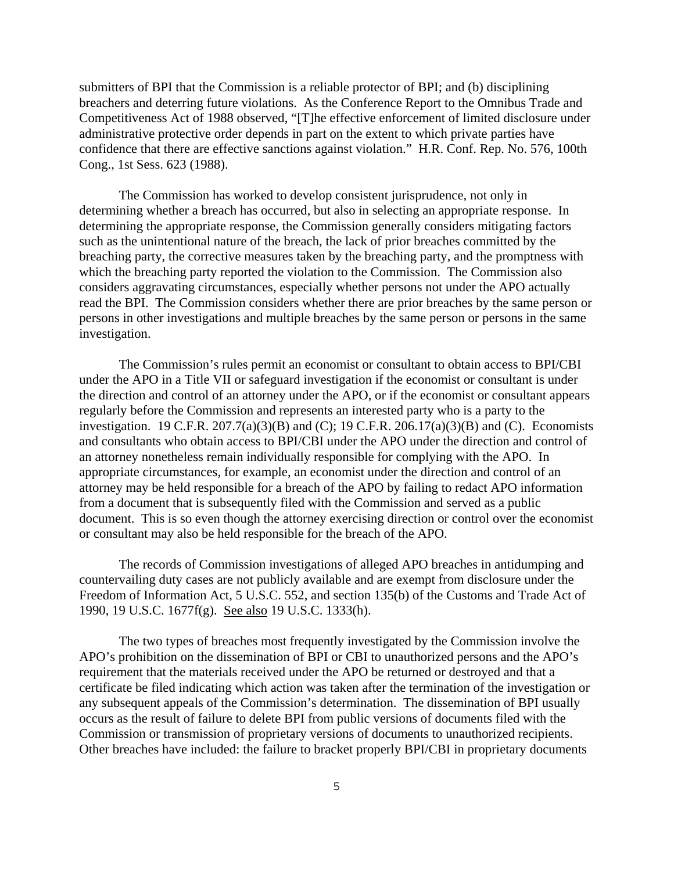submitters of BPI that the Commission is a reliable protector of BPI; and (b) disciplining breachers and deterring future violations. As the Conference Report to the Omnibus Trade and Competitiveness Act of 1988 observed, "[T]he effective enforcement of limited disclosure under administrative protective order depends in part on the extent to which private parties have confidence that there are effective sanctions against violation." H.R. Conf. Rep. No. 576, 100th Cong., 1st Sess. 623 (1988).

The Commission has worked to develop consistent jurisprudence, not only in determining whether a breach has occurred, but also in selecting an appropriate response. In determining the appropriate response, the Commission generally considers mitigating factors such as the unintentional nature of the breach, the lack of prior breaches committed by the breaching party, the corrective measures taken by the breaching party, and the promptness with which the breaching party reported the violation to the Commission. The Commission also considers aggravating circumstances, especially whether persons not under the APO actually read the BPI. The Commission considers whether there are prior breaches by the same person or persons in other investigations and multiple breaches by the same person or persons in the same investigation.

The Commission's rules permit an economist or consultant to obtain access to BPI/CBI under the APO in a Title VII or safeguard investigation if the economist or consultant is under the direction and control of an attorney under the APO, or if the economist or consultant appears regularly before the Commission and represents an interested party who is a party to the investigation. 19 C.F.R. 207.7(a)(3)(B) and (C); 19 C.F.R. 206.17(a)(3)(B) and (C). Economists and consultants who obtain access to BPI/CBI under the APO under the direction and control of an attorney nonetheless remain individually responsible for complying with the APO. In appropriate circumstances, for example, an economist under the direction and control of an attorney may be held responsible for a breach of the APO by failing to redact APO information from a document that is subsequently filed with the Commission and served as a public document. This is so even though the attorney exercising direction or control over the economist or consultant may also be held responsible for the breach of the APO.

The records of Commission investigations of alleged APO breaches in antidumping and countervailing duty cases are not publicly available and are exempt from disclosure under the Freedom of Information Act, 5 U.S.C. 552, and section 135(b) of the Customs and Trade Act of 1990, 19 U.S.C. 1677f(g). See also 19 U.S.C. 1333(h).

The two types of breaches most frequently investigated by the Commission involve the APO's prohibition on the dissemination of BPI or CBI to unauthorized persons and the APO's requirement that the materials received under the APO be returned or destroyed and that a certificate be filed indicating which action was taken after the termination of the investigation or any subsequent appeals of the Commission's determination. The dissemination of BPI usually occurs as the result of failure to delete BPI from public versions of documents filed with the Commission or transmission of proprietary versions of documents to unauthorized recipients. Other breaches have included: the failure to bracket properly BPI/CBI in proprietary documents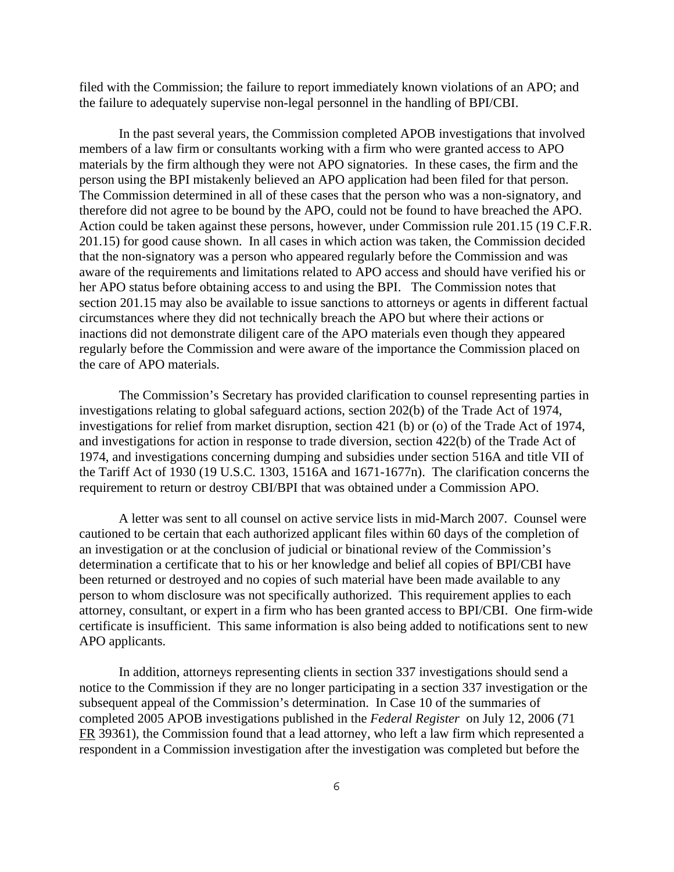filed with the Commission; the failure to report immediately known violations of an APO; and the failure to adequately supervise non-legal personnel in the handling of BPI/CBI.

In the past several years, the Commission completed APOB investigations that involved members of a law firm or consultants working with a firm who were granted access to APO materials by the firm although they were not APO signatories. In these cases, the firm and the person using the BPI mistakenly believed an APO application had been filed for that person. The Commission determined in all of these cases that the person who was a non-signatory, and therefore did not agree to be bound by the APO, could not be found to have breached the APO. Action could be taken against these persons, however, under Commission rule 201.15 (19 C.F.R. 201.15) for good cause shown. In all cases in which action was taken, the Commission decided that the non-signatory was a person who appeared regularly before the Commission and was aware of the requirements and limitations related to APO access and should have verified his or her APO status before obtaining access to and using the BPI. The Commission notes that section 201.15 may also be available to issue sanctions to attorneys or agents in different factual circumstances where they did not technically breach the APO but where their actions or inactions did not demonstrate diligent care of the APO materials even though they appeared regularly before the Commission and were aware of the importance the Commission placed on the care of APO materials.

The Commission's Secretary has provided clarification to counsel representing parties in investigations relating to global safeguard actions, section 202(b) of the Trade Act of 1974, investigations for relief from market disruption, section 421 (b) or (o) of the Trade Act of 1974, and investigations for action in response to trade diversion, section 422(b) of the Trade Act of 1974, and investigations concerning dumping and subsidies under section 516A and title VII of the Tariff Act of 1930 (19 U.S.C. 1303, 1516A and 1671-1677n). The clarification concerns the requirement to return or destroy CBI/BPI that was obtained under a Commission APO.

A letter was sent to all counsel on active service lists in mid-March 2007. Counsel were cautioned to be certain that each authorized applicant files within 60 days of the completion of an investigation or at the conclusion of judicial or binational review of the Commission's determination a certificate that to his or her knowledge and belief all copies of BPI/CBI have been returned or destroyed and no copies of such material have been made available to any person to whom disclosure was not specifically authorized. This requirement applies to each attorney, consultant, or expert in a firm who has been granted access to BPI/CBI. One firm-wide certificate is insufficient. This same information is also being added to notifications sent to new APO applicants.

In addition, attorneys representing clients in section 337 investigations should send a notice to the Commission if they are no longer participating in a section 337 investigation or the subsequent appeal of the Commission's determination. In Case 10 of the summaries of completed 2005 APOB investigations published in the *Federal Register* on July 12, 2006 (71 FR 39361), the Commission found that a lead attorney, who left a law firm which represented a respondent in a Commission investigation after the investigation was completed but before the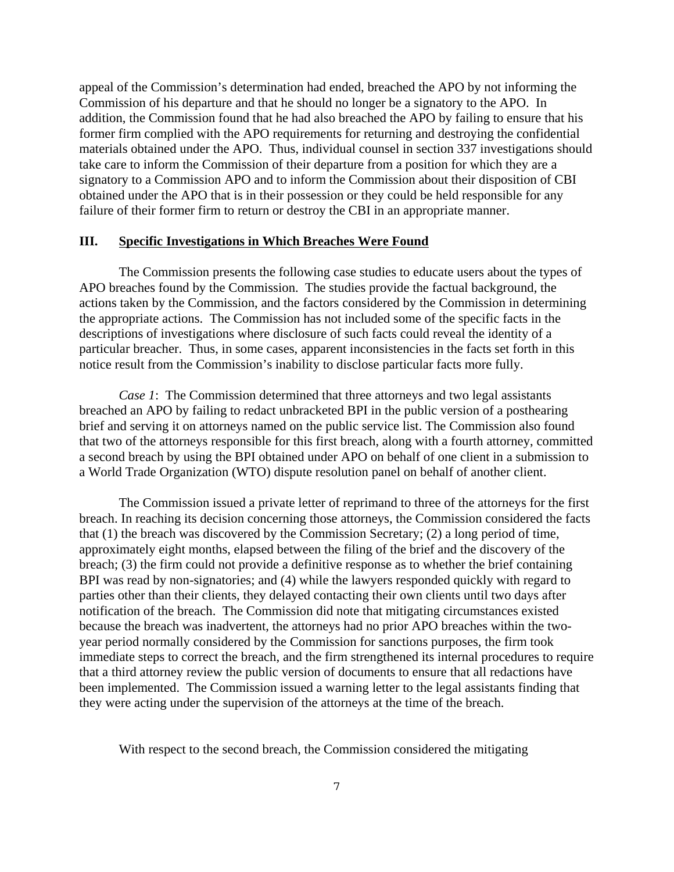appeal of the Commission's determination had ended, breached the APO by not informing the Commission of his departure and that he should no longer be a signatory to the APO. In addition, the Commission found that he had also breached the APO by failing to ensure that his former firm complied with the APO requirements for returning and destroying the confidential materials obtained under the APO. Thus, individual counsel in section 337 investigations should take care to inform the Commission of their departure from a position for which they are a signatory to a Commission APO and to inform the Commission about their disposition of CBI obtained under the APO that is in their possession or they could be held responsible for any failure of their former firm to return or destroy the CBI in an appropriate manner.

#### **III. Specific Investigations in Which Breaches Were Found**

The Commission presents the following case studies to educate users about the types of APO breaches found by the Commission. The studies provide the factual background, the actions taken by the Commission, and the factors considered by the Commission in determining the appropriate actions. The Commission has not included some of the specific facts in the descriptions of investigations where disclosure of such facts could reveal the identity of a particular breacher. Thus, in some cases, apparent inconsistencies in the facts set forth in this notice result from the Commission's inability to disclose particular facts more fully.

*Case 1*: The Commission determined that three attorneys and two legal assistants breached an APO by failing to redact unbracketed BPI in the public version of a posthearing brief and serving it on attorneys named on the public service list. The Commission also found that two of the attorneys responsible for this first breach, along with a fourth attorney, committed a second breach by using the BPI obtained under APO on behalf of one client in a submission to a World Trade Organization (WTO) dispute resolution panel on behalf of another client.

The Commission issued a private letter of reprimand to three of the attorneys for the first breach. In reaching its decision concerning those attorneys, the Commission considered the facts that (1) the breach was discovered by the Commission Secretary; (2) a long period of time, approximately eight months, elapsed between the filing of the brief and the discovery of the breach; (3) the firm could not provide a definitive response as to whether the brief containing BPI was read by non-signatories; and (4) while the lawyers responded quickly with regard to parties other than their clients, they delayed contacting their own clients until two days after notification of the breach. The Commission did note that mitigating circumstances existed because the breach was inadvertent, the attorneys had no prior APO breaches within the twoyear period normally considered by the Commission for sanctions purposes, the firm took immediate steps to correct the breach, and the firm strengthened its internal procedures to require that a third attorney review the public version of documents to ensure that all redactions have been implemented. The Commission issued a warning letter to the legal assistants finding that they were acting under the supervision of the attorneys at the time of the breach.

With respect to the second breach, the Commission considered the mitigating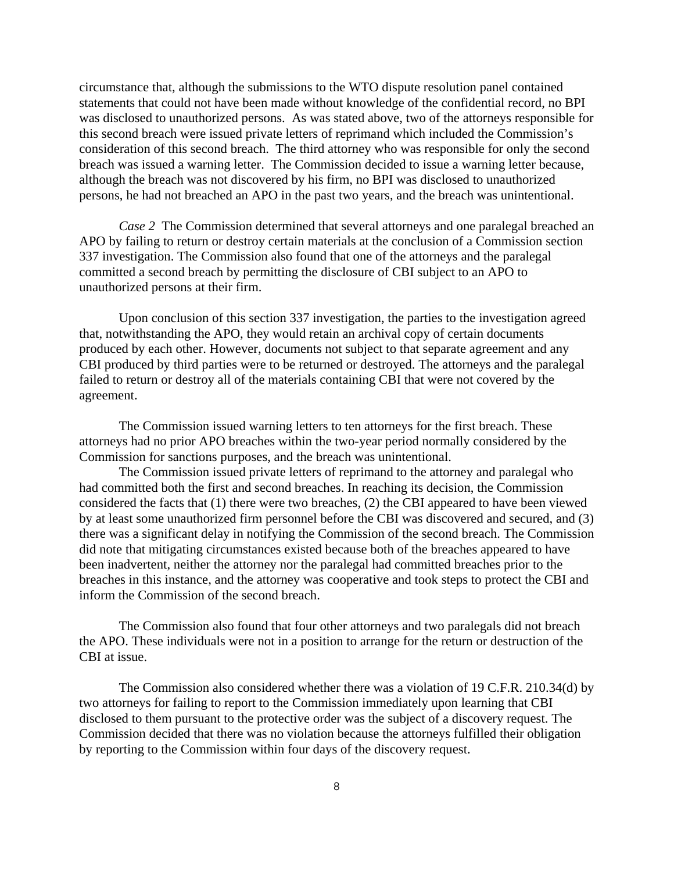circumstance that, although the submissions to the WTO dispute resolution panel contained statements that could not have been made without knowledge of the confidential record, no BPI was disclosed to unauthorized persons. As was stated above, two of the attorneys responsible for this second breach were issued private letters of reprimand which included the Commission's consideration of this second breach. The third attorney who was responsible for only the second breach was issued a warning letter. The Commission decided to issue a warning letter because, although the breach was not discovered by his firm, no BPI was disclosed to unauthorized persons, he had not breached an APO in the past two years, and the breach was unintentional.

*Case 2* The Commission determined that several attorneys and one paralegal breached an APO by failing to return or destroy certain materials at the conclusion of a Commission section 337 investigation. The Commission also found that one of the attorneys and the paralegal committed a second breach by permitting the disclosure of CBI subject to an APO to unauthorized persons at their firm.

Upon conclusion of this section 337 investigation, the parties to the investigation agreed that, notwithstanding the APO, they would retain an archival copy of certain documents produced by each other. However, documents not subject to that separate agreement and any CBI produced by third parties were to be returned or destroyed. The attorneys and the paralegal failed to return or destroy all of the materials containing CBI that were not covered by the agreement.

The Commission issued warning letters to ten attorneys for the first breach. These attorneys had no prior APO breaches within the two-year period normally considered by the Commission for sanctions purposes, and the breach was unintentional.

The Commission issued private letters of reprimand to the attorney and paralegal who had committed both the first and second breaches. In reaching its decision, the Commission considered the facts that (1) there were two breaches, (2) the CBI appeared to have been viewed by at least some unauthorized firm personnel before the CBI was discovered and secured, and (3) there was a significant delay in notifying the Commission of the second breach. The Commission did note that mitigating circumstances existed because both of the breaches appeared to have been inadvertent, neither the attorney nor the paralegal had committed breaches prior to the breaches in this instance, and the attorney was cooperative and took steps to protect the CBI and inform the Commission of the second breach.

The Commission also found that four other attorneys and two paralegals did not breach the APO. These individuals were not in a position to arrange for the return or destruction of the CBI at issue.

The Commission also considered whether there was a violation of 19 C.F.R. 210.34(d) by two attorneys for failing to report to the Commission immediately upon learning that CBI disclosed to them pursuant to the protective order was the subject of a discovery request. The Commission decided that there was no violation because the attorneys fulfilled their obligation by reporting to the Commission within four days of the discovery request.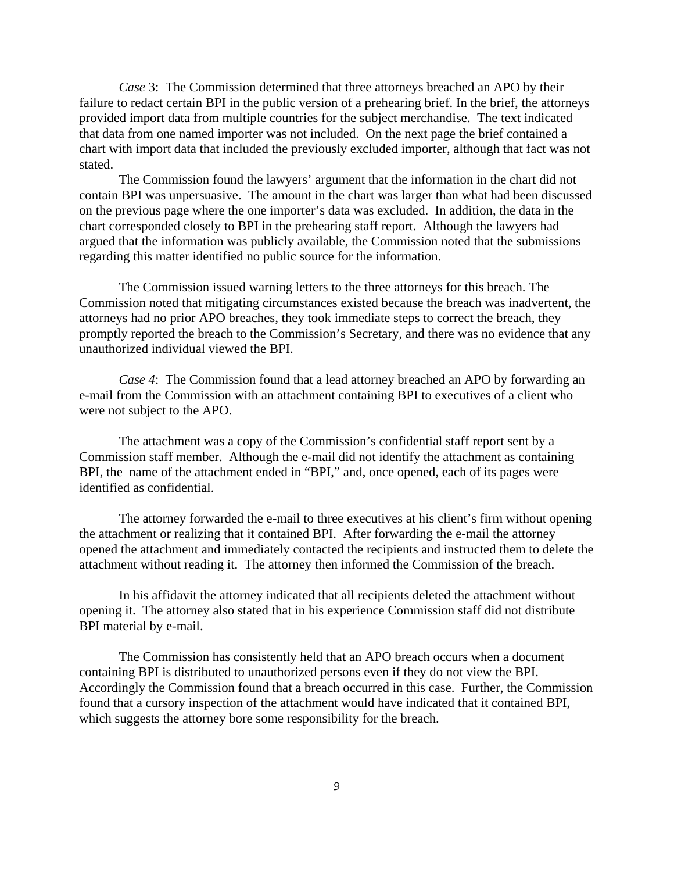*Case* 3: The Commission determined that three attorneys breached an APO by their failure to redact certain BPI in the public version of a prehearing brief. In the brief, the attorneys provided import data from multiple countries for the subject merchandise. The text indicated that data from one named importer was not included. On the next page the brief contained a chart with import data that included the previously excluded importer, although that fact was not stated.

The Commission found the lawyers' argument that the information in the chart did not contain BPI was unpersuasive. The amount in the chart was larger than what had been discussed on the previous page where the one importer's data was excluded. In addition, the data in the chart corresponded closely to BPI in the prehearing staff report. Although the lawyers had argued that the information was publicly available, the Commission noted that the submissions regarding this matter identified no public source for the information.

The Commission issued warning letters to the three attorneys for this breach. The Commission noted that mitigating circumstances existed because the breach was inadvertent, the attorneys had no prior APO breaches, they took immediate steps to correct the breach, they promptly reported the breach to the Commission's Secretary, and there was no evidence that any unauthorized individual viewed the BPI.

*Case 4*: The Commission found that a lead attorney breached an APO by forwarding an e-mail from the Commission with an attachment containing BPI to executives of a client who were not subject to the APO.

The attachment was a copy of the Commission's confidential staff report sent by a Commission staff member. Although the e-mail did not identify the attachment as containing BPI, the name of the attachment ended in "BPI," and, once opened, each of its pages were identified as confidential.

The attorney forwarded the e-mail to three executives at his client's firm without opening the attachment or realizing that it contained BPI. After forwarding the e-mail the attorney opened the attachment and immediately contacted the recipients and instructed them to delete the attachment without reading it. The attorney then informed the Commission of the breach.

In his affidavit the attorney indicated that all recipients deleted the attachment without opening it. The attorney also stated that in his experience Commission staff did not distribute BPI material by e-mail.

The Commission has consistently held that an APO breach occurs when a document containing BPI is distributed to unauthorized persons even if they do not view the BPI. Accordingly the Commission found that a breach occurred in this case. Further, the Commission found that a cursory inspection of the attachment would have indicated that it contained BPI, which suggests the attorney bore some responsibility for the breach.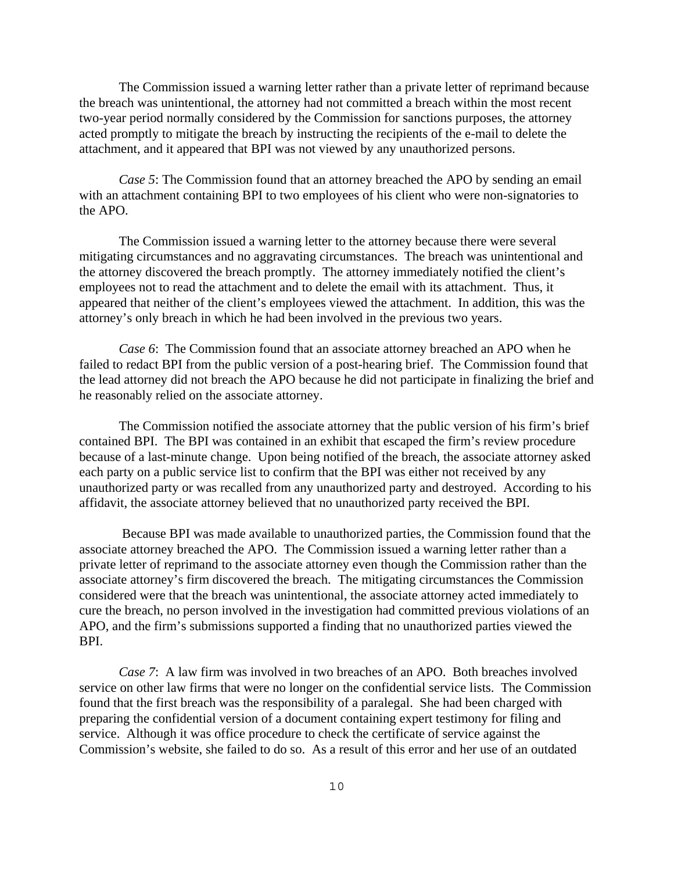The Commission issued a warning letter rather than a private letter of reprimand because the breach was unintentional, the attorney had not committed a breach within the most recent two-year period normally considered by the Commission for sanctions purposes, the attorney acted promptly to mitigate the breach by instructing the recipients of the e-mail to delete the attachment, and it appeared that BPI was not viewed by any unauthorized persons.

*Case 5*: The Commission found that an attorney breached the APO by sending an email with an attachment containing BPI to two employees of his client who were non-signatories to the APO.

The Commission issued a warning letter to the attorney because there were several mitigating circumstances and no aggravating circumstances. The breach was unintentional and the attorney discovered the breach promptly. The attorney immediately notified the client's employees not to read the attachment and to delete the email with its attachment. Thus, it appeared that neither of the client's employees viewed the attachment. In addition, this was the attorney's only breach in which he had been involved in the previous two years.

*Case 6*: The Commission found that an associate attorney breached an APO when he failed to redact BPI from the public version of a post-hearing brief. The Commission found that the lead attorney did not breach the APO because he did not participate in finalizing the brief and he reasonably relied on the associate attorney.

The Commission notified the associate attorney that the public version of his firm's brief contained BPI. The BPI was contained in an exhibit that escaped the firm's review procedure because of a last-minute change. Upon being notified of the breach, the associate attorney asked each party on a public service list to confirm that the BPI was either not received by any unauthorized party or was recalled from any unauthorized party and destroyed. According to his affidavit, the associate attorney believed that no unauthorized party received the BPI.

 Because BPI was made available to unauthorized parties, the Commission found that the associate attorney breached the APO. The Commission issued a warning letter rather than a private letter of reprimand to the associate attorney even though the Commission rather than the associate attorney's firm discovered the breach. The mitigating circumstances the Commission considered were that the breach was unintentional, the associate attorney acted immediately to cure the breach, no person involved in the investigation had committed previous violations of an APO, and the firm's submissions supported a finding that no unauthorized parties viewed the BPI.

*Case 7*: A law firm was involved in two breaches of an APO. Both breaches involved service on other law firms that were no longer on the confidential service lists. The Commission found that the first breach was the responsibility of a paralegal. She had been charged with preparing the confidential version of a document containing expert testimony for filing and service. Although it was office procedure to check the certificate of service against the Commission's website, she failed to do so. As a result of this error and her use of an outdated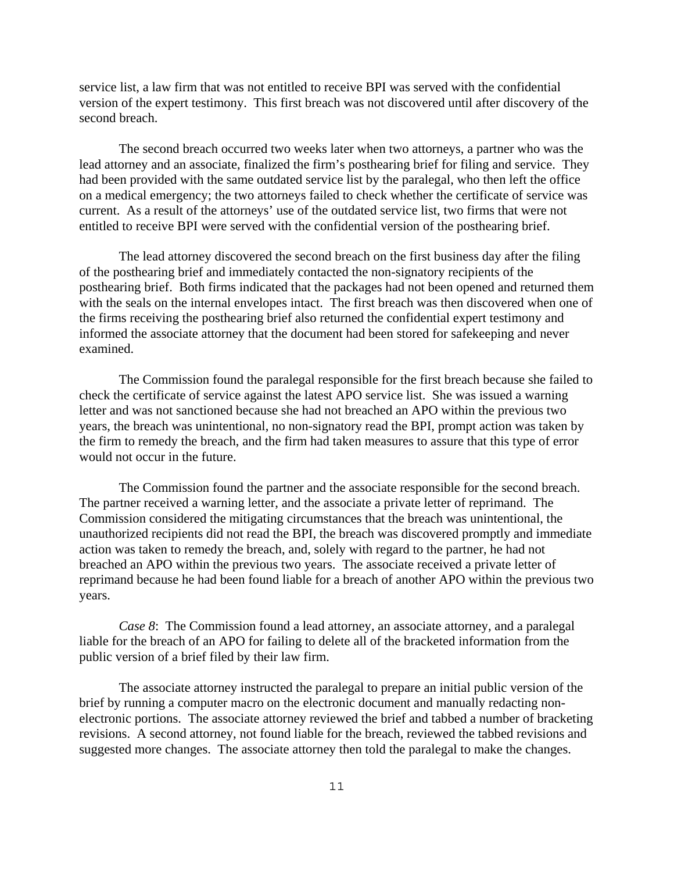service list, a law firm that was not entitled to receive BPI was served with the confidential version of the expert testimony. This first breach was not discovered until after discovery of the second breach.

The second breach occurred two weeks later when two attorneys, a partner who was the lead attorney and an associate, finalized the firm's posthearing brief for filing and service. They had been provided with the same outdated service list by the paralegal, who then left the office on a medical emergency; the two attorneys failed to check whether the certificate of service was current. As a result of the attorneys' use of the outdated service list, two firms that were not entitled to receive BPI were served with the confidential version of the posthearing brief.

The lead attorney discovered the second breach on the first business day after the filing of the posthearing brief and immediately contacted the non-signatory recipients of the posthearing brief. Both firms indicated that the packages had not been opened and returned them with the seals on the internal envelopes intact. The first breach was then discovered when one of the firms receiving the posthearing brief also returned the confidential expert testimony and informed the associate attorney that the document had been stored for safekeeping and never examined.

The Commission found the paralegal responsible for the first breach because she failed to check the certificate of service against the latest APO service list. She was issued a warning letter and was not sanctioned because she had not breached an APO within the previous two years, the breach was unintentional, no non-signatory read the BPI, prompt action was taken by the firm to remedy the breach, and the firm had taken measures to assure that this type of error would not occur in the future.

The Commission found the partner and the associate responsible for the second breach. The partner received a warning letter, and the associate a private letter of reprimand. The Commission considered the mitigating circumstances that the breach was unintentional, the unauthorized recipients did not read the BPI, the breach was discovered promptly and immediate action was taken to remedy the breach, and, solely with regard to the partner, he had not breached an APO within the previous two years. The associate received a private letter of reprimand because he had been found liable for a breach of another APO within the previous two years.

*Case 8*: The Commission found a lead attorney, an associate attorney, and a paralegal liable for the breach of an APO for failing to delete all of the bracketed information from the public version of a brief filed by their law firm.

The associate attorney instructed the paralegal to prepare an initial public version of the brief by running a computer macro on the electronic document and manually redacting nonelectronic portions. The associate attorney reviewed the brief and tabbed a number of bracketing revisions. A second attorney, not found liable for the breach, reviewed the tabbed revisions and suggested more changes. The associate attorney then told the paralegal to make the changes.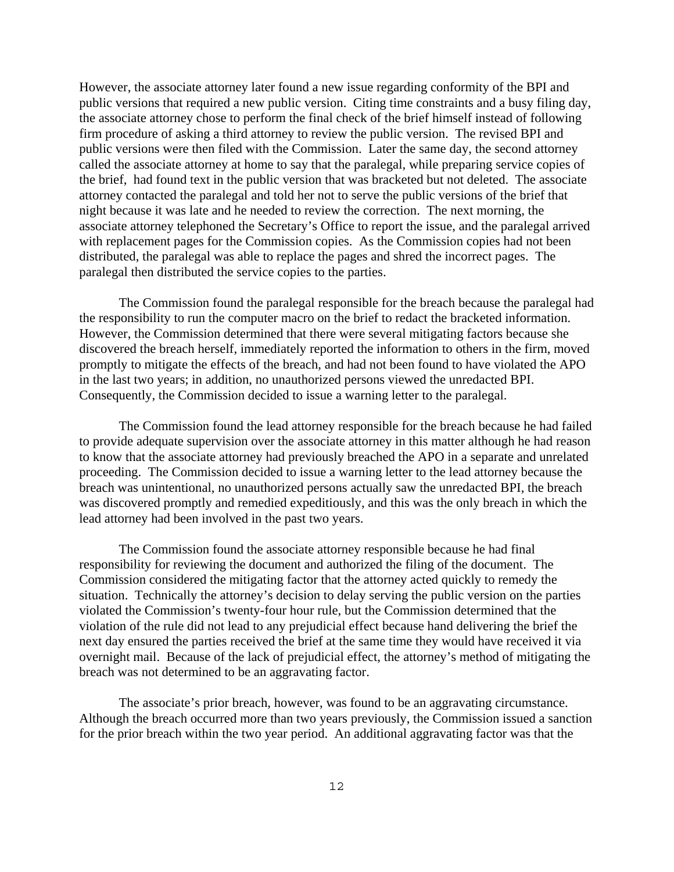However, the associate attorney later found a new issue regarding conformity of the BPI and public versions that required a new public version. Citing time constraints and a busy filing day, the associate attorney chose to perform the final check of the brief himself instead of following firm procedure of asking a third attorney to review the public version. The revised BPI and public versions were then filed with the Commission. Later the same day, the second attorney called the associate attorney at home to say that the paralegal, while preparing service copies of the brief, had found text in the public version that was bracketed but not deleted. The associate attorney contacted the paralegal and told her not to serve the public versions of the brief that night because it was late and he needed to review the correction. The next morning, the associate attorney telephoned the Secretary's Office to report the issue, and the paralegal arrived with replacement pages for the Commission copies. As the Commission copies had not been distributed, the paralegal was able to replace the pages and shred the incorrect pages. The paralegal then distributed the service copies to the parties.

The Commission found the paralegal responsible for the breach because the paralegal had the responsibility to run the computer macro on the brief to redact the bracketed information. However, the Commission determined that there were several mitigating factors because she discovered the breach herself, immediately reported the information to others in the firm, moved promptly to mitigate the effects of the breach, and had not been found to have violated the APO in the last two years; in addition, no unauthorized persons viewed the unredacted BPI. Consequently, the Commission decided to issue a warning letter to the paralegal.

The Commission found the lead attorney responsible for the breach because he had failed to provide adequate supervision over the associate attorney in this matter although he had reason to know that the associate attorney had previously breached the APO in a separate and unrelated proceeding. The Commission decided to issue a warning letter to the lead attorney because the breach was unintentional, no unauthorized persons actually saw the unredacted BPI, the breach was discovered promptly and remedied expeditiously, and this was the only breach in which the lead attorney had been involved in the past two years.

The Commission found the associate attorney responsible because he had final responsibility for reviewing the document and authorized the filing of the document. The Commission considered the mitigating factor that the attorney acted quickly to remedy the situation. Technically the attorney's decision to delay serving the public version on the parties violated the Commission's twenty-four hour rule, but the Commission determined that the violation of the rule did not lead to any prejudicial effect because hand delivering the brief the next day ensured the parties received the brief at the same time they would have received it via overnight mail. Because of the lack of prejudicial effect, the attorney's method of mitigating the breach was not determined to be an aggravating factor.

The associate's prior breach, however, was found to be an aggravating circumstance. Although the breach occurred more than two years previously, the Commission issued a sanction for the prior breach within the two year period. An additional aggravating factor was that the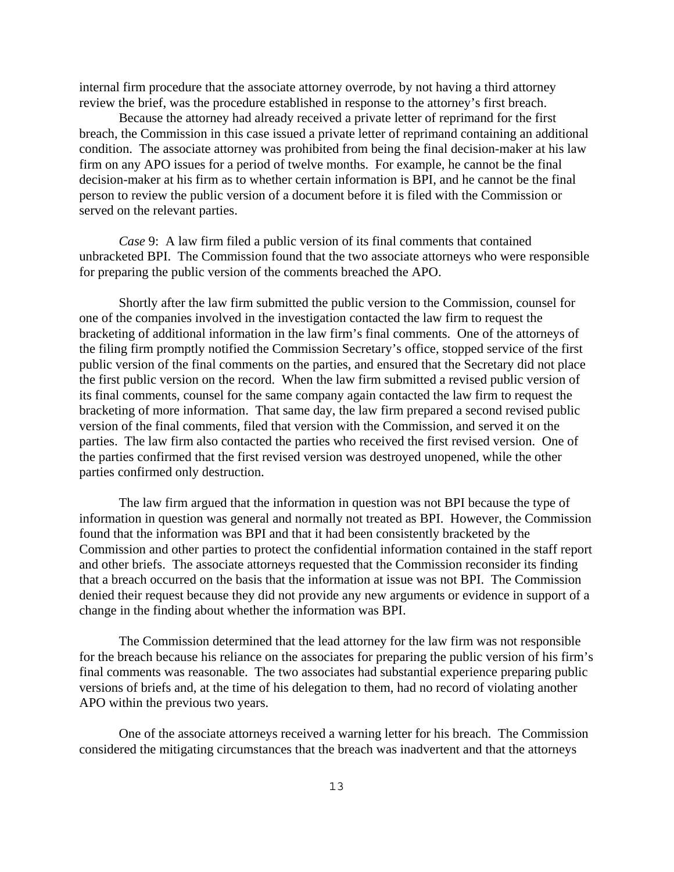internal firm procedure that the associate attorney overrode, by not having a third attorney review the brief, was the procedure established in response to the attorney's first breach.

Because the attorney had already received a private letter of reprimand for the first breach, the Commission in this case issued a private letter of reprimand containing an additional condition. The associate attorney was prohibited from being the final decision-maker at his law firm on any APO issues for a period of twelve months. For example, he cannot be the final decision-maker at his firm as to whether certain information is BPI, and he cannot be the final person to review the public version of a document before it is filed with the Commission or served on the relevant parties.

*Case* 9: A law firm filed a public version of its final comments that contained unbracketed BPI. The Commission found that the two associate attorneys who were responsible for preparing the public version of the comments breached the APO.

Shortly after the law firm submitted the public version to the Commission, counsel for one of the companies involved in the investigation contacted the law firm to request the bracketing of additional information in the law firm's final comments. One of the attorneys of the filing firm promptly notified the Commission Secretary's office, stopped service of the first public version of the final comments on the parties, and ensured that the Secretary did not place the first public version on the record. When the law firm submitted a revised public version of its final comments, counsel for the same company again contacted the law firm to request the bracketing of more information. That same day, the law firm prepared a second revised public version of the final comments, filed that version with the Commission, and served it on the parties. The law firm also contacted the parties who received the first revised version. One of the parties confirmed that the first revised version was destroyed unopened, while the other parties confirmed only destruction.

The law firm argued that the information in question was not BPI because the type of information in question was general and normally not treated as BPI. However, the Commission found that the information was BPI and that it had been consistently bracketed by the Commission and other parties to protect the confidential information contained in the staff report and other briefs. The associate attorneys requested that the Commission reconsider its finding that a breach occurred on the basis that the information at issue was not BPI. The Commission denied their request because they did not provide any new arguments or evidence in support of a change in the finding about whether the information was BPI.

The Commission determined that the lead attorney for the law firm was not responsible for the breach because his reliance on the associates for preparing the public version of his firm's final comments was reasonable. The two associates had substantial experience preparing public versions of briefs and, at the time of his delegation to them, had no record of violating another APO within the previous two years.

One of the associate attorneys received a warning letter for his breach. The Commission considered the mitigating circumstances that the breach was inadvertent and that the attorneys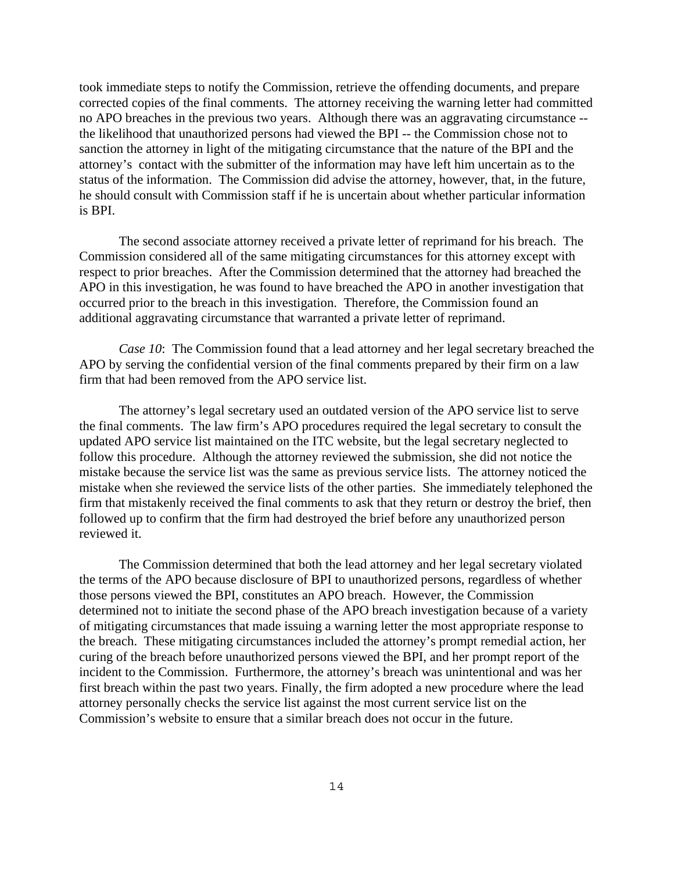took immediate steps to notify the Commission, retrieve the offending documents, and prepare corrected copies of the final comments. The attorney receiving the warning letter had committed no APO breaches in the previous two years. Although there was an aggravating circumstance - the likelihood that unauthorized persons had viewed the BPI -- the Commission chose not to sanction the attorney in light of the mitigating circumstance that the nature of the BPI and the attorney's contact with the submitter of the information may have left him uncertain as to the status of the information. The Commission did advise the attorney, however, that, in the future, he should consult with Commission staff if he is uncertain about whether particular information is BPI.

The second associate attorney received a private letter of reprimand for his breach. The Commission considered all of the same mitigating circumstances for this attorney except with respect to prior breaches. After the Commission determined that the attorney had breached the APO in this investigation, he was found to have breached the APO in another investigation that occurred prior to the breach in this investigation. Therefore, the Commission found an additional aggravating circumstance that warranted a private letter of reprimand.

*Case 10*: The Commission found that a lead attorney and her legal secretary breached the APO by serving the confidential version of the final comments prepared by their firm on a law firm that had been removed from the APO service list.

The attorney's legal secretary used an outdated version of the APO service list to serve the final comments. The law firm's APO procedures required the legal secretary to consult the updated APO service list maintained on the ITC website, but the legal secretary neglected to follow this procedure. Although the attorney reviewed the submission, she did not notice the mistake because the service list was the same as previous service lists. The attorney noticed the mistake when she reviewed the service lists of the other parties. She immediately telephoned the firm that mistakenly received the final comments to ask that they return or destroy the brief, then followed up to confirm that the firm had destroyed the brief before any unauthorized person reviewed it.

The Commission determined that both the lead attorney and her legal secretary violated the terms of the APO because disclosure of BPI to unauthorized persons, regardless of whether those persons viewed the BPI, constitutes an APO breach. However, the Commission determined not to initiate the second phase of the APO breach investigation because of a variety of mitigating circumstances that made issuing a warning letter the most appropriate response to the breach. These mitigating circumstances included the attorney's prompt remedial action, her curing of the breach before unauthorized persons viewed the BPI, and her prompt report of the incident to the Commission. Furthermore, the attorney's breach was unintentional and was her first breach within the past two years. Finally, the firm adopted a new procedure where the lead attorney personally checks the service list against the most current service list on the Commission's website to ensure that a similar breach does not occur in the future.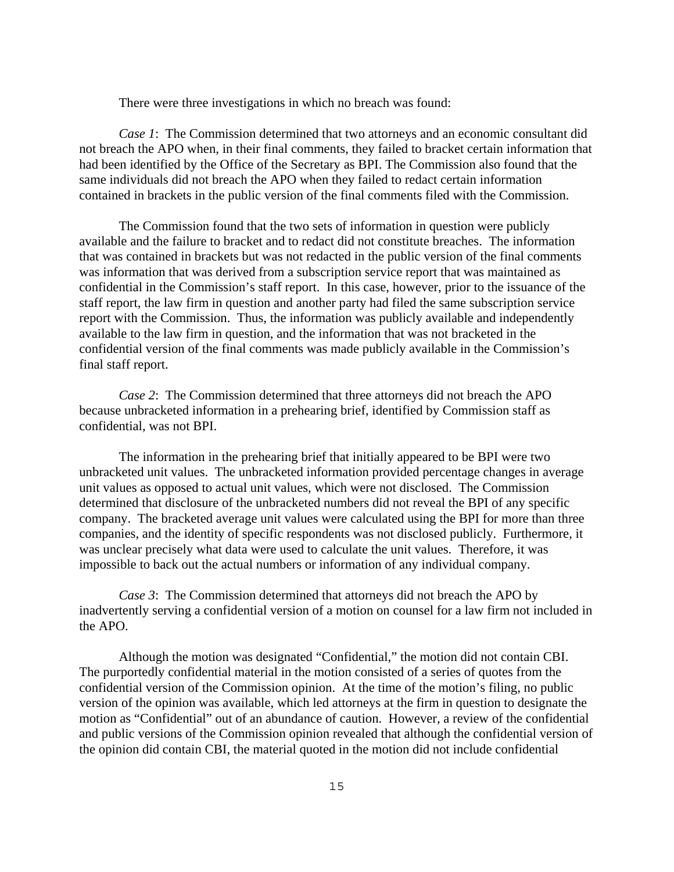There were three investigations in which no breach was found:

*Case 1*: The Commission determined that two attorneys and an economic consultant did not breach the APO when, in their final comments, they failed to bracket certain information that had been identified by the Office of the Secretary as BPI. The Commission also found that the same individuals did not breach the APO when they failed to redact certain information contained in brackets in the public version of the final comments filed with the Commission.

The Commission found that the two sets of information in question were publicly available and the failure to bracket and to redact did not constitute breaches. The information that was contained in brackets but was not redacted in the public version of the final comments was information that was derived from a subscription service report that was maintained as confidential in the Commission's staff report. In this case, however, prior to the issuance of the staff report, the law firm in question and another party had filed the same subscription service report with the Commission. Thus, the information was publicly available and independently available to the law firm in question, and the information that was not bracketed in the confidential version of the final comments was made publicly available in the Commission's final staff report.

*Case 2*: The Commission determined that three attorneys did not breach the APO because unbracketed information in a prehearing brief, identified by Commission staff as confidential, was not BPI.

The information in the prehearing brief that initially appeared to be BPI were two unbracketed unit values. The unbracketed information provided percentage changes in average unit values as opposed to actual unit values, which were not disclosed. The Commission determined that disclosure of the unbracketed numbers did not reveal the BPI of any specific company. The bracketed average unit values were calculated using the BPI for more than three companies, and the identity of specific respondents was not disclosed publicly. Furthermore, it was unclear precisely what data were used to calculate the unit values. Therefore, it was impossible to back out the actual numbers or information of any individual company.

*Case 3*: The Commission determined that attorneys did not breach the APO by inadvertently serving a confidential version of a motion on counsel for a law firm not included in the APO.

Although the motion was designated "Confidential," the motion did not contain CBI. The purportedly confidential material in the motion consisted of a series of quotes from the confidential version of the Commission opinion. At the time of the motion's filing, no public version of the opinion was available, which led attorneys at the firm in question to designate the motion as "Confidential" out of an abundance of caution. However, a review of the confidential and public versions of the Commission opinion revealed that although the confidential version of the opinion did contain CBI, the material quoted in the motion did not include confidential